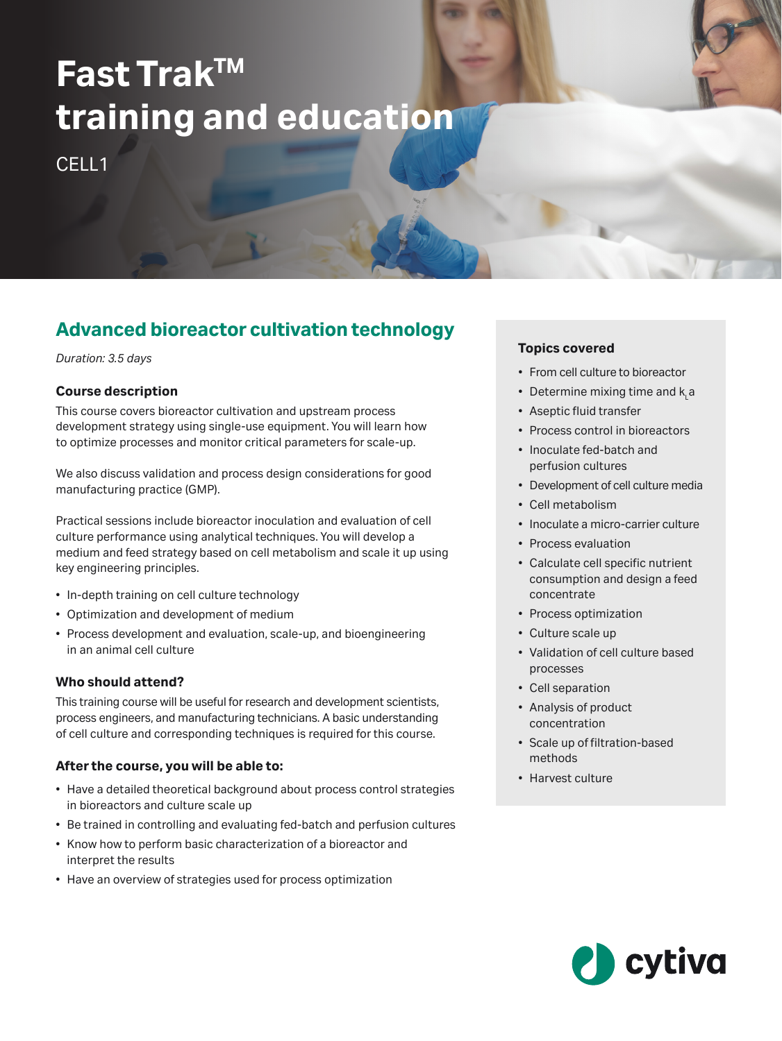# **Fast TrakTM training and education**

CFLL<sub>1</sub>

# **Advanced bioreactor cultivation technology**

*Duration: 3.5 days*

## **Course description**

This course covers bioreactor cultivation and upstream process development strategy using single-use equipment. You will learn how to optimize processes and monitor critical parameters for scale-up.

We also discuss validation and process design considerations for good manufacturing practice (GMP).

Practical sessions include bioreactor inoculation and evaluation of cell culture performance using analytical techniques. You will develop a medium and feed strategy based on cell metabolism and scale it up using key engineering principles.

- In-depth training on cell culture technology
- Optimization and development of medium
- Process development and evaluation, scale-up, and bioengineering in an animal cell culture

## **Who should attend?**

This training course will be useful for research and development scientists, process engineers, and manufacturing technicians. A basic understanding of cell culture and corresponding techniques is required for this course.

## **After the course, you will be able to:**

- Have a detailed theoretical background about process control strategies in bioreactors and culture scale up
- Be trained in controlling and evaluating fed-batch and perfusion cultures
- Know how to perform basic characterization of a bioreactor and interpret the results
- Have an overview of strategies used for process optimization

# **Topics covered**

- From cell culture to bioreactor
- Determine mixing time and  $\mathsf{k}_\mathsf{L}$ a
- Aseptic fluid transfer
- Process control in bioreactors
- Inoculate fed-batch and perfusion cultures
- Development of cell culture media
- Cell metabolism
- Inoculate a micro-carrier culture
- Process evaluation
- Calculate cell specific nutrient consumption and design a feed concentrate
- Process optimization
- Culture scale up
- Validation of cell culture based processes
- Cell separation
- Analysis of product concentration
- Scale up of filtration-based methods
- Harvest culture

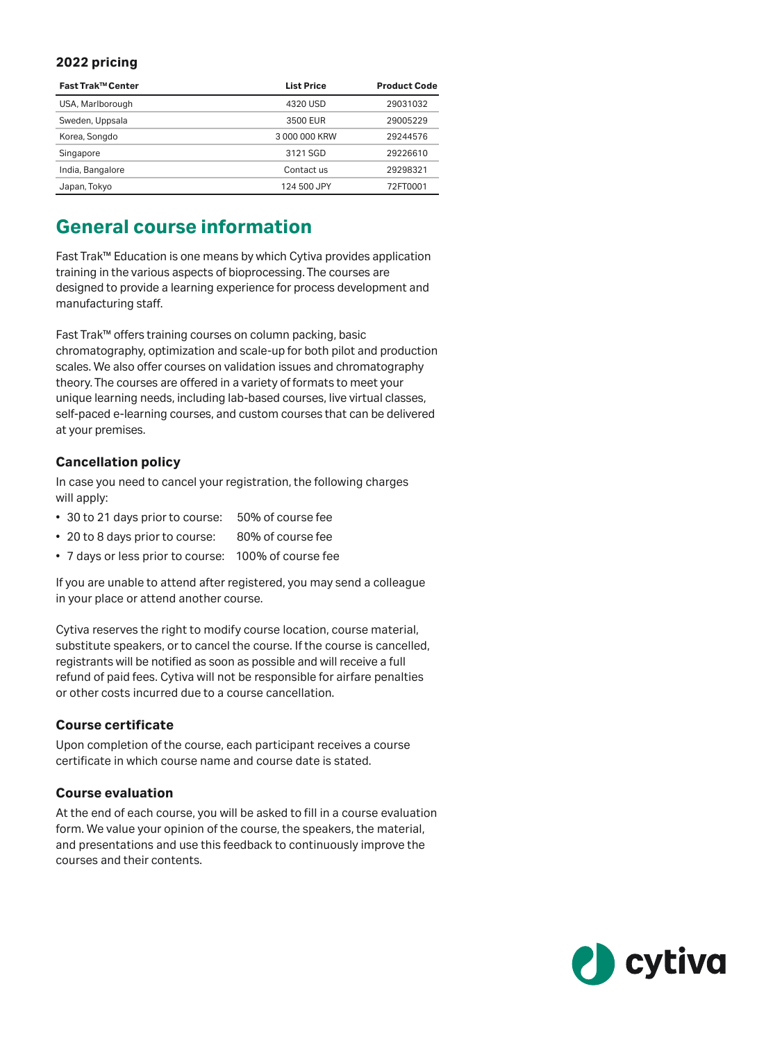#### **2022 pricing**

| Fast Trak™ Center | <b>List Price</b> | <b>Product Code</b> |
|-------------------|-------------------|---------------------|
| USA, Marlborough  | 4320 USD          | 29031032            |
| Sweden, Uppsala   | 3500 EUR          | 29005229            |
| Korea, Songdo     | 3000000 KRW       | 29244576            |
| Singapore         | 3121 SGD          | 29226610            |
| India, Bangalore  | Contact us        | 29298321            |
| Japan, Tokyo      | 124 500 JPY       | 72FT0001            |

# **General course information**

Fast Trak™ Education is one means by which Cytiva provides application training in the various aspects of bioprocessing. The courses are designed to provide a learning experience for process development and manufacturing staff.

Fast Trak™ offers training courses on column packing, basic chromatography, optimization and scale-up for both pilot and production scales. We also offer courses on validation issues and chromatography theory. The courses are offered in a variety of formats to meet your unique learning needs, including lab-based courses, live virtual classes, self-paced e-learning courses, and custom courses that can be delivered at your premises.

#### **Cancellation policy**

In case you need to cancel your registration, the following charges will apply:

- 30 to 21 days prior to course: 50% of course fee
- 20 to 8 days prior to course: 80% of course fee
- 7 days or less prior to course: 100% of course fee

If you are unable to attend after registered, you may send a colleague in your place or attend another course.

Cytiva reserves the right to modify course location, course material, substitute speakers, or to cancel the course. If the course is cancelled, registrants will be notified as soon as possible and will receive a full refund of paid fees. Cytiva will not be responsible for airfare penalties or other costs incurred due to a course cancellation.

#### **Course certificate**

Upon completion of the course, each participant receives a course certificate in which course name and course date is stated.

#### **Course evaluation**

At the end of each course, you will be asked to fill in a course evaluation form. We value your opinion of the course, the speakers, the material, and presentations and use this feedback to continuously improve the courses and their contents.